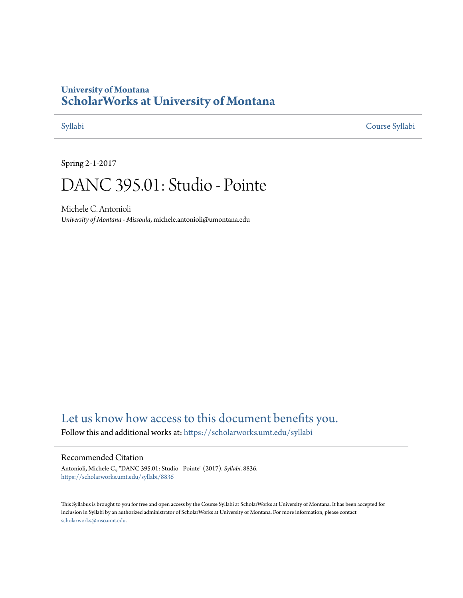## **University of Montana [ScholarWorks at University of Montana](https://scholarworks.umt.edu?utm_source=scholarworks.umt.edu%2Fsyllabi%2F8836&utm_medium=PDF&utm_campaign=PDFCoverPages)**

[Syllabi](https://scholarworks.umt.edu/syllabi?utm_source=scholarworks.umt.edu%2Fsyllabi%2F8836&utm_medium=PDF&utm_campaign=PDFCoverPages) [Course Syllabi](https://scholarworks.umt.edu/course_syllabi?utm_source=scholarworks.umt.edu%2Fsyllabi%2F8836&utm_medium=PDF&utm_campaign=PDFCoverPages)

Spring 2-1-2017

# DANC 395.01: Studio - Pointe

Michele C. Antonioli *University of Montana - Missoula*, michele.antonioli@umontana.edu

# [Let us know how access to this document benefits you.](https://goo.gl/forms/s2rGfXOLzz71qgsB2)

Follow this and additional works at: [https://scholarworks.umt.edu/syllabi](https://scholarworks.umt.edu/syllabi?utm_source=scholarworks.umt.edu%2Fsyllabi%2F8836&utm_medium=PDF&utm_campaign=PDFCoverPages)

#### Recommended Citation

Antonioli, Michele C., "DANC 395.01: Studio - Pointe" (2017). *Syllabi*. 8836. [https://scholarworks.umt.edu/syllabi/8836](https://scholarworks.umt.edu/syllabi/8836?utm_source=scholarworks.umt.edu%2Fsyllabi%2F8836&utm_medium=PDF&utm_campaign=PDFCoverPages)

This Syllabus is brought to you for free and open access by the Course Syllabi at ScholarWorks at University of Montana. It has been accepted for inclusion in Syllabi by an authorized administrator of ScholarWorks at University of Montana. For more information, please contact [scholarworks@mso.umt.edu](mailto:scholarworks@mso.umt.edu).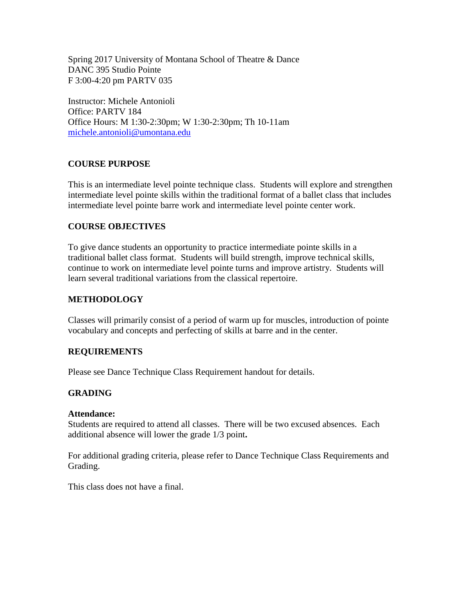Spring 2017 University of Montana School of Theatre & Dance DANC 395 Studio Pointe F 3:00-4:20 pm PARTV 035

Instructor: Michele Antonioli Office: PARTV 184 Office Hours: M 1:30-2:30pm; W 1:30-2:30pm; Th 10-11am [michele.antonioli@umontana.edu](mailto:michele.antonioli@umontana.edu)

#### **COURSE PURPOSE**

This is an intermediate level pointe technique class. Students will explore and strengthen intermediate level pointe skills within the traditional format of a ballet class that includes intermediate level pointe barre work and intermediate level pointe center work.

#### **COURSE OBJECTIVES**

To give dance students an opportunity to practice intermediate pointe skills in a traditional ballet class format. Students will build strength, improve technical skills, continue to work on intermediate level pointe turns and improve artistry. Students will learn several traditional variations from the classical repertoire.

#### **METHODOLOGY**

Classes will primarily consist of a period of warm up for muscles, introduction of pointe vocabulary and concepts and perfecting of skills at barre and in the center.

### **REQUIREMENTS**

Please see Dance Technique Class Requirement handout for details.

#### **GRADING**

#### **Attendance:**

Students are required to attend all classes. There will be two excused absences. Each additional absence will lower the grade 1/3 point**.** 

For additional grading criteria, please refer to Dance Technique Class Requirements and Grading.

This class does not have a final.